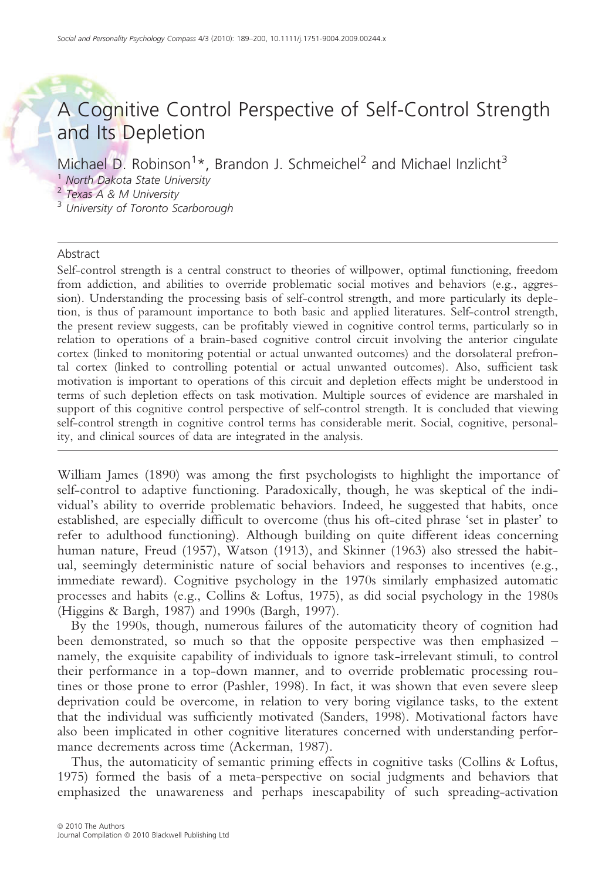# A Cognitive Control Perspective of Self-Control Strength and Its Depletion

Michael D. Robinson<sup>1</sup>\*, Brandon J. Schmeichel<sup>2</sup> and Michael Inzlicht<sup>3</sup>

<sup>1</sup> North Dakota State University

<sup>2</sup> Texas A & M University

<sup>3</sup> University of Toronto Scarborough

#### Abstract

Self-control strength is a central construct to theories of willpower, optimal functioning, freedom from addiction, and abilities to override problematic social motives and behaviors (e.g., aggression). Understanding the processing basis of self-control strength, and more particularly its depletion, is thus of paramount importance to both basic and applied literatures. Self-control strength, the present review suggests, can be profitably viewed in cognitive control terms, particularly so in relation to operations of a brain-based cognitive control circuit involving the anterior cingulate cortex (linked to monitoring potential or actual unwanted outcomes) and the dorsolateral prefrontal cortex (linked to controlling potential or actual unwanted outcomes). Also, sufficient task motivation is important to operations of this circuit and depletion effects might be understood in terms of such depletion effects on task motivation. Multiple sources of evidence are marshaled in support of this cognitive control perspective of self-control strength. It is concluded that viewing self-control strength in cognitive control terms has considerable merit. Social, cognitive, personality, and clinical sources of data are integrated in the analysis.

William James (1890) was among the first psychologists to highlight the importance of self-control to adaptive functioning. Paradoxically, though, he was skeptical of the individual's ability to override problematic behaviors. Indeed, he suggested that habits, once established, are especially difficult to overcome (thus his oft-cited phrase 'set in plaster' to refer to adulthood functioning). Although building on quite different ideas concerning human nature, Freud (1957), Watson (1913), and Skinner (1963) also stressed the habitual, seemingly deterministic nature of social behaviors and responses to incentives (e.g., immediate reward). Cognitive psychology in the 1970s similarly emphasized automatic processes and habits (e.g., Collins & Loftus, 1975), as did social psychology in the 1980s (Higgins & Bargh, 1987) and 1990s (Bargh, 1997).

By the 1990s, though, numerous failures of the automaticity theory of cognition had been demonstrated, so much so that the opposite perspective was then emphasized – namely, the exquisite capability of individuals to ignore task-irrelevant stimuli, to control their performance in a top-down manner, and to override problematic processing routines or those prone to error (Pashler, 1998). In fact, it was shown that even severe sleep deprivation could be overcome, in relation to very boring vigilance tasks, to the extent that the individual was sufficiently motivated (Sanders, 1998). Motivational factors have also been implicated in other cognitive literatures concerned with understanding performance decrements across time (Ackerman, 1987).

Thus, the automaticity of semantic priming effects in cognitive tasks (Collins & Loftus, 1975) formed the basis of a meta-perspective on social judgments and behaviors that emphasized the unawareness and perhaps inescapability of such spreading-activation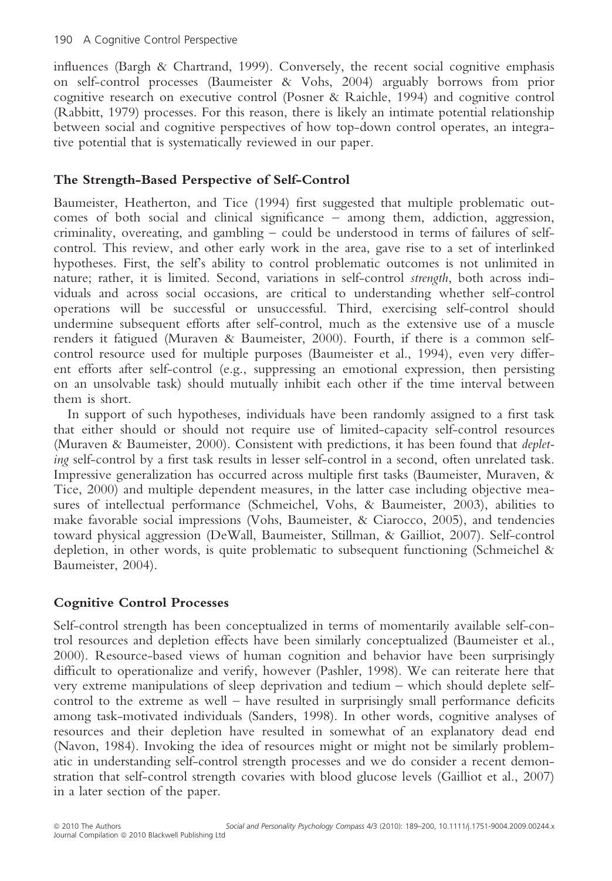influences (Bargh & Chartrand, 1999). Conversely, the recent social cognitive emphasis on self-control processes (Baumeister & Vohs, 2004) arguably borrows from prior cognitive research on executive control (Posner & Raichle, 1994) and cognitive control (Rabbitt, 1979) processes. For this reason, there is likely an intimate potential relationship between social and cognitive perspectives of how top-down control operates, an integrative potential that is systematically reviewed in our paper.

## The Strength-Based Perspective of Self-Control

Baumeister, Heatherton, and Tice (1994) first suggested that multiple problematic outcomes of both social and clinical significance – among them, addiction, aggression, criminality, overeating, and gambling – could be understood in terms of failures of selfcontrol. This review, and other early work in the area, gave rise to a set of interlinked hypotheses. First, the self's ability to control problematic outcomes is not unlimited in nature; rather, it is limited. Second, variations in self-control strength, both across individuals and across social occasions, are critical to understanding whether self-control operations will be successful or unsuccessful. Third, exercising self-control should undermine subsequent efforts after self-control, much as the extensive use of a muscle renders it fatigued (Muraven & Baumeister, 2000). Fourth, if there is a common selfcontrol resource used for multiple purposes (Baumeister et al., 1994), even very different efforts after self-control (e.g., suppressing an emotional expression, then persisting on an unsolvable task) should mutually inhibit each other if the time interval between them is short.

In support of such hypotheses, individuals have been randomly assigned to a first task that either should or should not require use of limited-capacity self-control resources (Muraven & Baumeister, 2000). Consistent with predictions, it has been found that depleting self-control by a first task results in lesser self-control in a second, often unrelated task. Impressive generalization has occurred across multiple first tasks (Baumeister, Muraven, & Tice, 2000) and multiple dependent measures, in the latter case including objective measures of intellectual performance (Schmeichel, Vohs, & Baumeister, 2003), abilities to make favorable social impressions (Vohs, Baumeister, & Ciarocco, 2005), and tendencies toward physical aggression (DeWall, Baumeister, Stillman, & Gailliot, 2007). Self-control depletion, in other words, is quite problematic to subsequent functioning (Schmeichel  $\&$ Baumeister, 2004).

### Cognitive Control Processes

Self-control strength has been conceptualized in terms of momentarily available self-control resources and depletion effects have been similarly conceptualized (Baumeister et al., 2000). Resource-based views of human cognition and behavior have been surprisingly difficult to operationalize and verify, however (Pashler, 1998). We can reiterate here that very extreme manipulations of sleep deprivation and tedium – which should deplete selfcontrol to the extreme as well – have resulted in surprisingly small performance deficits among task-motivated individuals (Sanders, 1998). In other words, cognitive analyses of resources and their depletion have resulted in somewhat of an explanatory dead end (Navon, 1984). Invoking the idea of resources might or might not be similarly problematic in understanding self-control strength processes and we do consider a recent demonstration that self-control strength covaries with blood glucose levels (Gailliot et al., 2007) in a later section of the paper.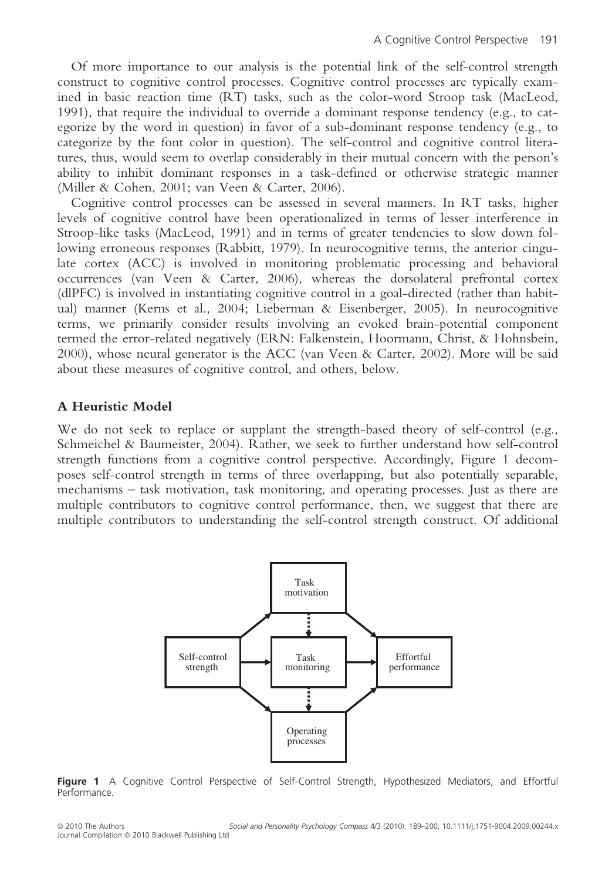Of more importance to our analysis is the potential link of the self-control strength construct to cognitive control processes. Cognitive control processes are typically examined in basic reaction time (RT) tasks, such as the color-word Stroop task (MacLeod, 1991), that require the individual to override a dominant response tendency (e.g., to categorize by the word in question) in favor of a sub-dominant response tendency (e.g., to categorize by the font color in question). The self-control and cognitive control literatures, thus, would seem to overlap considerably in their mutual concern with the person's ability to inhibit dominant responses in a task-defined or otherwise strategic manner (Miller & Cohen, 2001; van Veen & Carter, 2006).

Cognitive control processes can be assessed in several manners. In RT tasks, higher levels of cognitive control have been operationalized in terms of lesser interference in Stroop-like tasks (MacLeod, 1991) and in terms of greater tendencies to slow down following erroneous responses (Rabbitt, 1979). In neurocognitive terms, the anterior cingulate cortex (ACC) is involved in monitoring problematic processing and behavioral occurrences (van Veen & Carter, 2006), whereas the dorsolateral prefrontal cortex (dlPFC) is involved in instantiating cognitive control in a goal-directed (rather than habitual) manner (Kerns et al., 2004; Lieberman & Eisenberger, 2005). In neurocognitive terms, we primarily consider results involving an evoked brain-potential component termed the error-related negatively (ERN: Falkenstein, Hoormann, Christ, & Hohnsbein, 2000), whose neural generator is the ACC (van Veen & Carter, 2002). More will be said about these measures of cognitive control, and others, below.

### A Heuristic Model

We do not seek to replace or supplant the strength-based theory of self-control (e.g., Schmeichel & Baumeister, 2004). Rather, we seek to further understand how self-control strength functions from a cognitive control perspective. Accordingly, Figure 1 decomposes self-control strength in terms of three overlapping, but also potentially separable, mechanisms – task motivation, task monitoring, and operating processes. Just as there are multiple contributors to cognitive control performance, then, we suggest that there are multiple contributors to understanding the self-control strength construct. Of additional



Figure 1 A Cognitive Control Perspective of Self-Control Strength, Hypothesized Mediators, and Effortful Performance.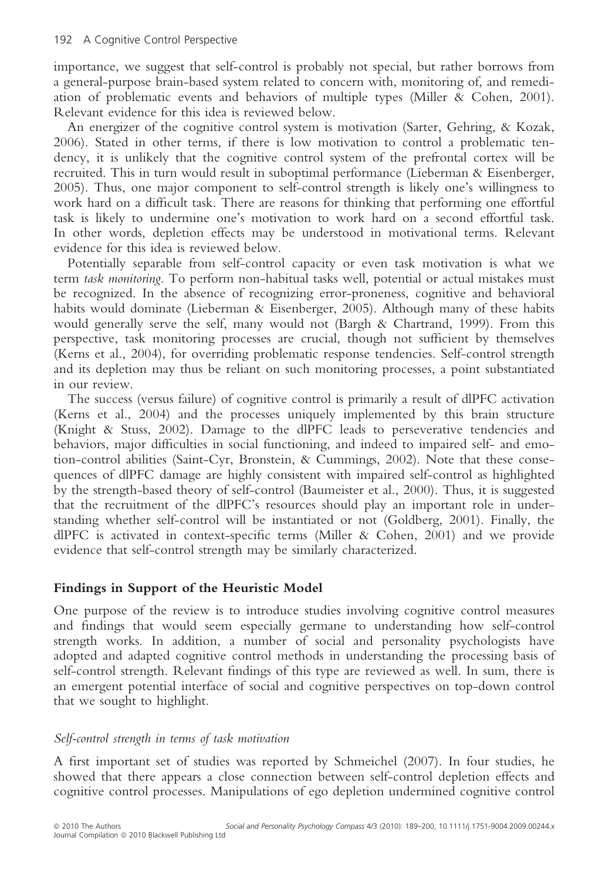importance, we suggest that self-control is probably not special, but rather borrows from a general-purpose brain-based system related to concern with, monitoring of, and remediation of problematic events and behaviors of multiple types (Miller & Cohen, 2001). Relevant evidence for this idea is reviewed below.

An energizer of the cognitive control system is motivation (Sarter, Gehring, & Kozak, 2006). Stated in other terms, if there is low motivation to control a problematic tendency, it is unlikely that the cognitive control system of the prefrontal cortex will be recruited. This in turn would result in suboptimal performance (Lieberman & Eisenberger, 2005). Thus, one major component to self-control strength is likely one's willingness to work hard on a difficult task. There are reasons for thinking that performing one effortful task is likely to undermine one's motivation to work hard on a second effortful task. In other words, depletion effects may be understood in motivational terms. Relevant evidence for this idea is reviewed below.

Potentially separable from self-control capacity or even task motivation is what we term task monitoring. To perform non-habitual tasks well, potential or actual mistakes must be recognized. In the absence of recognizing error-proneness, cognitive and behavioral habits would dominate (Lieberman & Eisenberger, 2005). Although many of these habits would generally serve the self, many would not (Bargh & Chartrand, 1999). From this perspective, task monitoring processes are crucial, though not sufficient by themselves (Kerns et al., 2004), for overriding problematic response tendencies. Self-control strength and its depletion may thus be reliant on such monitoring processes, a point substantiated in our review.

The success (versus failure) of cognitive control is primarily a result of dlPFC activation (Kerns et al., 2004) and the processes uniquely implemented by this brain structure (Knight & Stuss, 2002). Damage to the dlPFC leads to perseverative tendencies and behaviors, major difficulties in social functioning, and indeed to impaired self- and emotion-control abilities (Saint-Cyr, Bronstein, & Cummings, 2002). Note that these consequences of dlPFC damage are highly consistent with impaired self-control as highlighted by the strength-based theory of self-control (Baumeister et al., 2000). Thus, it is suggested that the recruitment of the dlPFC's resources should play an important role in understanding whether self-control will be instantiated or not (Goldberg, 2001). Finally, the dlPFC is activated in context-specific terms (Miller & Cohen, 2001) and we provide evidence that self-control strength may be similarly characterized.

# Findings in Support of the Heuristic Model

One purpose of the review is to introduce studies involving cognitive control measures and findings that would seem especially germane to understanding how self-control strength works. In addition, a number of social and personality psychologists have adopted and adapted cognitive control methods in understanding the processing basis of self-control strength. Relevant findings of this type are reviewed as well. In sum, there is an emergent potential interface of social and cognitive perspectives on top-down control that we sought to highlight.

### Self-control strength in terms of task motivation

A first important set of studies was reported by Schmeichel (2007). In four studies, he showed that there appears a close connection between self-control depletion effects and cognitive control processes. Manipulations of ego depletion undermined cognitive control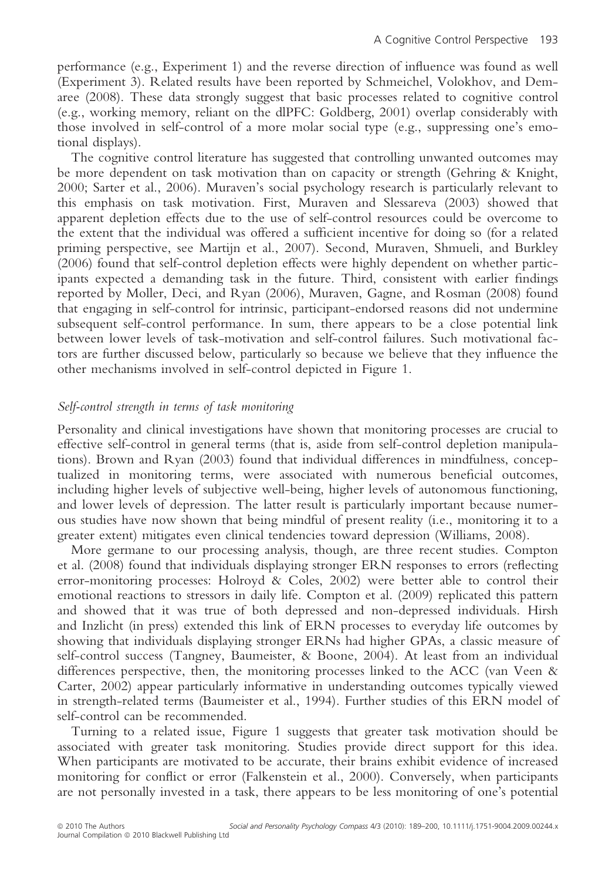performance (e.g., Experiment 1) and the reverse direction of influence was found as well (Experiment 3). Related results have been reported by Schmeichel, Volokhov, and Demaree (2008). These data strongly suggest that basic processes related to cognitive control (e.g., working memory, reliant on the dlPFC: Goldberg, 2001) overlap considerably with those involved in self-control of a more molar social type (e.g., suppressing one's emotional displays).

The cognitive control literature has suggested that controlling unwanted outcomes may be more dependent on task motivation than on capacity or strength (Gehring & Knight, 2000; Sarter et al., 2006). Muraven's social psychology research is particularly relevant to this emphasis on task motivation. First, Muraven and Slessareva (2003) showed that apparent depletion effects due to the use of self-control resources could be overcome to the extent that the individual was offered a sufficient incentive for doing so (for a related priming perspective, see Martijn et al., 2007). Second, Muraven, Shmueli, and Burkley (2006) found that self-control depletion effects were highly dependent on whether participants expected a demanding task in the future. Third, consistent with earlier findings reported by Moller, Deci, and Ryan (2006), Muraven, Gagne, and Rosman (2008) found that engaging in self-control for intrinsic, participant-endorsed reasons did not undermine subsequent self-control performance. In sum, there appears to be a close potential link between lower levels of task-motivation and self-control failures. Such motivational factors are further discussed below, particularly so because we believe that they influence the other mechanisms involved in self-control depicted in Figure 1.

#### Self-control strength in terms of task monitoring

Personality and clinical investigations have shown that monitoring processes are crucial to effective self-control in general terms (that is, aside from self-control depletion manipulations). Brown and Ryan (2003) found that individual differences in mindfulness, conceptualized in monitoring terms, were associated with numerous beneficial outcomes, including higher levels of subjective well-being, higher levels of autonomous functioning, and lower levels of depression. The latter result is particularly important because numerous studies have now shown that being mindful of present reality (i.e., monitoring it to a greater extent) mitigates even clinical tendencies toward depression (Williams, 2008).

More germane to our processing analysis, though, are three recent studies. Compton et al. (2008) found that individuals displaying stronger ERN responses to errors (reflecting error-monitoring processes: Holroyd & Coles, 2002) were better able to control their emotional reactions to stressors in daily life. Compton et al. (2009) replicated this pattern and showed that it was true of both depressed and non-depressed individuals. Hirsh and Inzlicht (in press) extended this link of ERN processes to everyday life outcomes by showing that individuals displaying stronger ERNs had higher GPAs, a classic measure of self-control success (Tangney, Baumeister, & Boone, 2004). At least from an individual differences perspective, then, the monitoring processes linked to the ACC (van Veen & Carter, 2002) appear particularly informative in understanding outcomes typically viewed in strength-related terms (Baumeister et al., 1994). Further studies of this ERN model of self-control can be recommended.

Turning to a related issue, Figure 1 suggests that greater task motivation should be associated with greater task monitoring. Studies provide direct support for this idea. When participants are motivated to be accurate, their brains exhibit evidence of increased monitoring for conflict or error (Falkenstein et al., 2000). Conversely, when participants are not personally invested in a task, there appears to be less monitoring of one's potential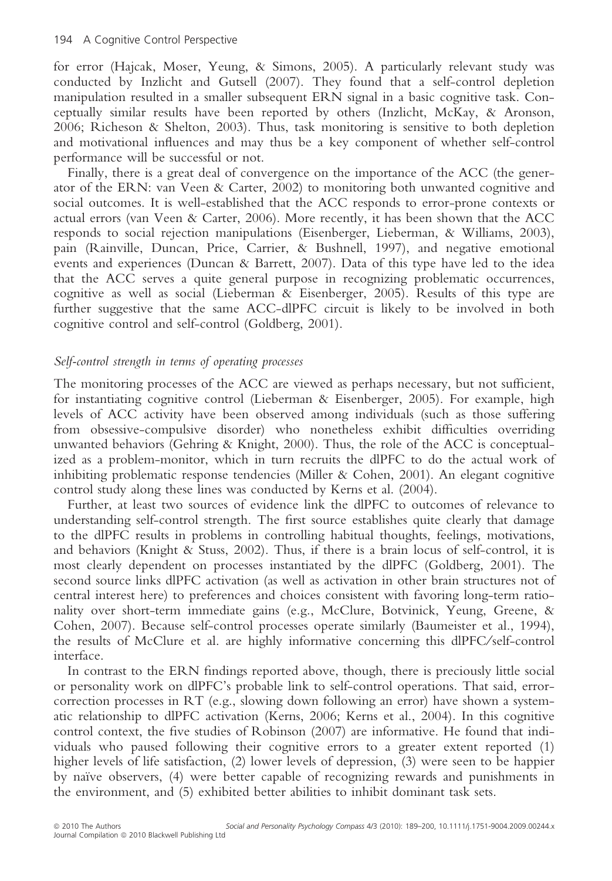for error (Hajcak, Moser, Yeung, & Simons, 2005). A particularly relevant study was conducted by Inzlicht and Gutsell (2007). They found that a self-control depletion manipulation resulted in a smaller subsequent ERN signal in a basic cognitive task. Conceptually similar results have been reported by others (Inzlicht, McKay, & Aronson, 2006; Richeson & Shelton, 2003). Thus, task monitoring is sensitive to both depletion and motivational influences and may thus be a key component of whether self-control performance will be successful or not.

Finally, there is a great deal of convergence on the importance of the ACC (the generator of the ERN: van Veen & Carter, 2002) to monitoring both unwanted cognitive and social outcomes. It is well-established that the ACC responds to error-prone contexts or actual errors (van Veen & Carter, 2006). More recently, it has been shown that the ACC responds to social rejection manipulations (Eisenberger, Lieberman, & Williams, 2003), pain (Rainville, Duncan, Price, Carrier, & Bushnell, 1997), and negative emotional events and experiences (Duncan & Barrett, 2007). Data of this type have led to the idea that the ACC serves a quite general purpose in recognizing problematic occurrences, cognitive as well as social (Lieberman & Eisenberger, 2005). Results of this type are further suggestive that the same ACC-dlPFC circuit is likely to be involved in both cognitive control and self-control (Goldberg, 2001).

### Self-control strength in terms of operating processes

The monitoring processes of the ACC are viewed as perhaps necessary, but not sufficient, for instantiating cognitive control (Lieberman & Eisenberger, 2005). For example, high levels of ACC activity have been observed among individuals (such as those suffering from obsessive-compulsive disorder) who nonetheless exhibit difficulties overriding unwanted behaviors (Gehring & Knight, 2000). Thus, the role of the ACC is conceptualized as a problem-monitor, which in turn recruits the dlPFC to do the actual work of inhibiting problematic response tendencies (Miller & Cohen, 2001). An elegant cognitive control study along these lines was conducted by Kerns et al. (2004).

Further, at least two sources of evidence link the dlPFC to outcomes of relevance to understanding self-control strength. The first source establishes quite clearly that damage to the dlPFC results in problems in controlling habitual thoughts, feelings, motivations, and behaviors (Knight & Stuss, 2002). Thus, if there is a brain locus of self-control, it is most clearly dependent on processes instantiated by the dlPFC (Goldberg, 2001). The second source links dlPFC activation (as well as activation in other brain structures not of central interest here) to preferences and choices consistent with favoring long-term rationality over short-term immediate gains (e.g., McClure, Botvinick, Yeung, Greene, & Cohen, 2007). Because self-control processes operate similarly (Baumeister et al., 1994), the results of McClure et al. are highly informative concerning this dlPFC⁄self-control interface.

In contrast to the ERN findings reported above, though, there is preciously little social or personality work on dlPFC's probable link to self-control operations. That said, errorcorrection processes in RT (e.g., slowing down following an error) have shown a systematic relationship to dlPFC activation (Kerns, 2006; Kerns et al., 2004). In this cognitive control context, the five studies of Robinson (2007) are informative. He found that individuals who paused following their cognitive errors to a greater extent reported (1) higher levels of life satisfaction, (2) lower levels of depression, (3) were seen to be happier by naïve observers, (4) were better capable of recognizing rewards and punishments in the environment, and (5) exhibited better abilities to inhibit dominant task sets.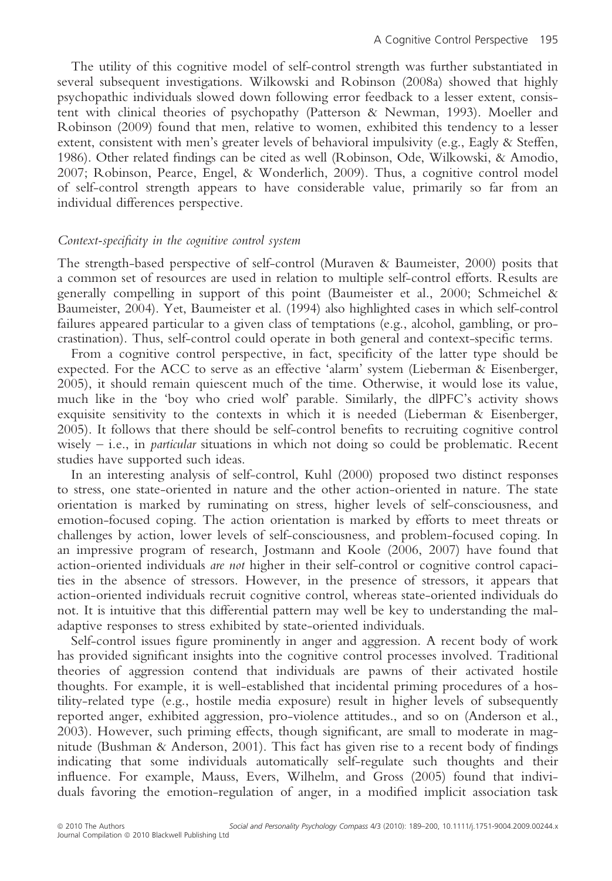The utility of this cognitive model of self-control strength was further substantiated in several subsequent investigations. Wilkowski and Robinson (2008a) showed that highly psychopathic individuals slowed down following error feedback to a lesser extent, consistent with clinical theories of psychopathy (Patterson & Newman, 1993). Moeller and Robinson (2009) found that men, relative to women, exhibited this tendency to a lesser extent, consistent with men's greater levels of behavioral impulsivity (e.g., Eagly & Steffen, 1986). Other related findings can be cited as well (Robinson, Ode, Wilkowski, & Amodio, 2007; Robinson, Pearce, Engel, & Wonderlich, 2009). Thus, a cognitive control model of self-control strength appears to have considerable value, primarily so far from an individual differences perspective.

#### Context-specificity in the cognitive control system

The strength-based perspective of self-control (Muraven & Baumeister, 2000) posits that a common set of resources are used in relation to multiple self-control efforts. Results are generally compelling in support of this point (Baumeister et al., 2000; Schmeichel & Baumeister, 2004). Yet, Baumeister et al. (1994) also highlighted cases in which self-control failures appeared particular to a given class of temptations (e.g., alcohol, gambling, or procrastination). Thus, self-control could operate in both general and context-specific terms.

From a cognitive control perspective, in fact, specificity of the latter type should be expected. For the ACC to serve as an effective 'alarm' system (Lieberman & Eisenberger, 2005), it should remain quiescent much of the time. Otherwise, it would lose its value, much like in the 'boy who cried wolf' parable. Similarly, the dlPFC's activity shows exquisite sensitivity to the contexts in which it is needed (Lieberman & Eisenberger, 2005). It follows that there should be self-control benefits to recruiting cognitive control wisely  $-$  i.e., in *particular* situations in which not doing so could be problematic. Recent studies have supported such ideas.

In an interesting analysis of self-control, Kuhl (2000) proposed two distinct responses to stress, one state-oriented in nature and the other action-oriented in nature. The state orientation is marked by ruminating on stress, higher levels of self-consciousness, and emotion-focused coping. The action orientation is marked by efforts to meet threats or challenges by action, lower levels of self-consciousness, and problem-focused coping. In an impressive program of research, Jostmann and Koole (2006, 2007) have found that action-oriented individuals are not higher in their self-control or cognitive control capacities in the absence of stressors. However, in the presence of stressors, it appears that action-oriented individuals recruit cognitive control, whereas state-oriented individuals do not. It is intuitive that this differential pattern may well be key to understanding the maladaptive responses to stress exhibited by state-oriented individuals.

Self-control issues figure prominently in anger and aggression. A recent body of work has provided significant insights into the cognitive control processes involved. Traditional theories of aggression contend that individuals are pawns of their activated hostile thoughts. For example, it is well-established that incidental priming procedures of a hostility-related type (e.g., hostile media exposure) result in higher levels of subsequently reported anger, exhibited aggression, pro-violence attitudes., and so on (Anderson et al., 2003). However, such priming effects, though significant, are small to moderate in magnitude (Bushman & Anderson, 2001). This fact has given rise to a recent body of findings indicating that some individuals automatically self-regulate such thoughts and their influence. For example, Mauss, Evers, Wilhelm, and Gross (2005) found that individuals favoring the emotion-regulation of anger, in a modified implicit association task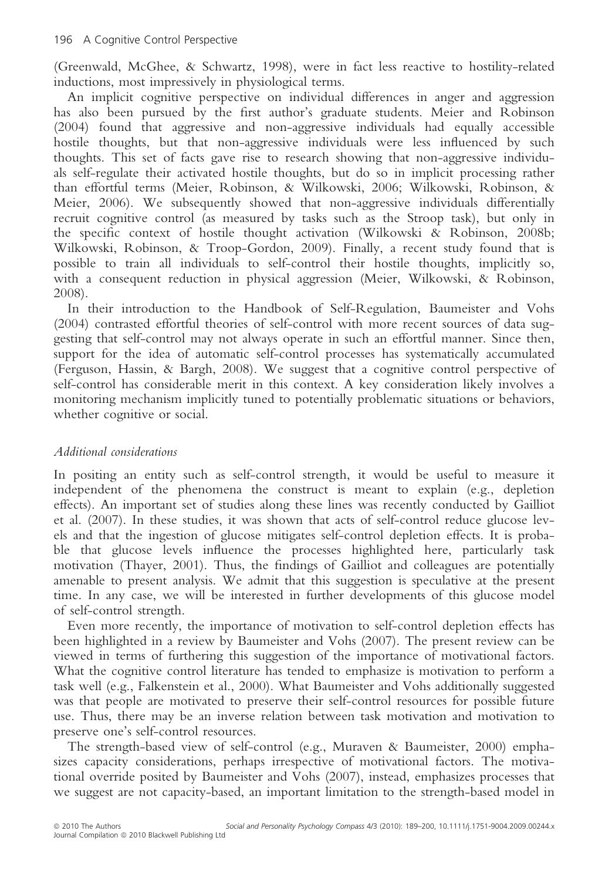(Greenwald, McGhee, & Schwartz, 1998), were in fact less reactive to hostility-related inductions, most impressively in physiological terms.

An implicit cognitive perspective on individual differences in anger and aggression has also been pursued by the first author's graduate students. Meier and Robinson (2004) found that aggressive and non-aggressive individuals had equally accessible hostile thoughts, but that non-aggressive individuals were less influenced by such thoughts. This set of facts gave rise to research showing that non-aggressive individuals self-regulate their activated hostile thoughts, but do so in implicit processing rather than effortful terms (Meier, Robinson, & Wilkowski, 2006; Wilkowski, Robinson, & Meier, 2006). We subsequently showed that non-aggressive individuals differentially recruit cognitive control (as measured by tasks such as the Stroop task), but only in the specific context of hostile thought activation (Wilkowski & Robinson, 2008b; Wilkowski, Robinson, & Troop-Gordon, 2009). Finally, a recent study found that is possible to train all individuals to self-control their hostile thoughts, implicitly so, with a consequent reduction in physical aggression (Meier, Wilkowski, & Robinson, 2008).

In their introduction to the Handbook of Self-Regulation, Baumeister and Vohs (2004) contrasted effortful theories of self-control with more recent sources of data suggesting that self-control may not always operate in such an effortful manner. Since then, support for the idea of automatic self-control processes has systematically accumulated (Ferguson, Hassin, & Bargh, 2008). We suggest that a cognitive control perspective of self-control has considerable merit in this context. A key consideration likely involves a monitoring mechanism implicitly tuned to potentially problematic situations or behaviors, whether cognitive or social.

### Additional considerations

In positing an entity such as self-control strength, it would be useful to measure it independent of the phenomena the construct is meant to explain (e.g., depletion effects). An important set of studies along these lines was recently conducted by Gailliot et al. (2007). In these studies, it was shown that acts of self-control reduce glucose levels and that the ingestion of glucose mitigates self-control depletion effects. It is probable that glucose levels influence the processes highlighted here, particularly task motivation (Thayer, 2001). Thus, the findings of Gailliot and colleagues are potentially amenable to present analysis. We admit that this suggestion is speculative at the present time. In any case, we will be interested in further developments of this glucose model of self-control strength.

Even more recently, the importance of motivation to self-control depletion effects has been highlighted in a review by Baumeister and Vohs (2007). The present review can be viewed in terms of furthering this suggestion of the importance of motivational factors. What the cognitive control literature has tended to emphasize is motivation to perform a task well (e.g., Falkenstein et al., 2000). What Baumeister and Vohs additionally suggested was that people are motivated to preserve their self-control resources for possible future use. Thus, there may be an inverse relation between task motivation and motivation to preserve one's self-control resources.

The strength-based view of self-control (e.g., Muraven & Baumeister, 2000) emphasizes capacity considerations, perhaps irrespective of motivational factors. The motivational override posited by Baumeister and Vohs (2007), instead, emphasizes processes that we suggest are not capacity-based, an important limitation to the strength-based model in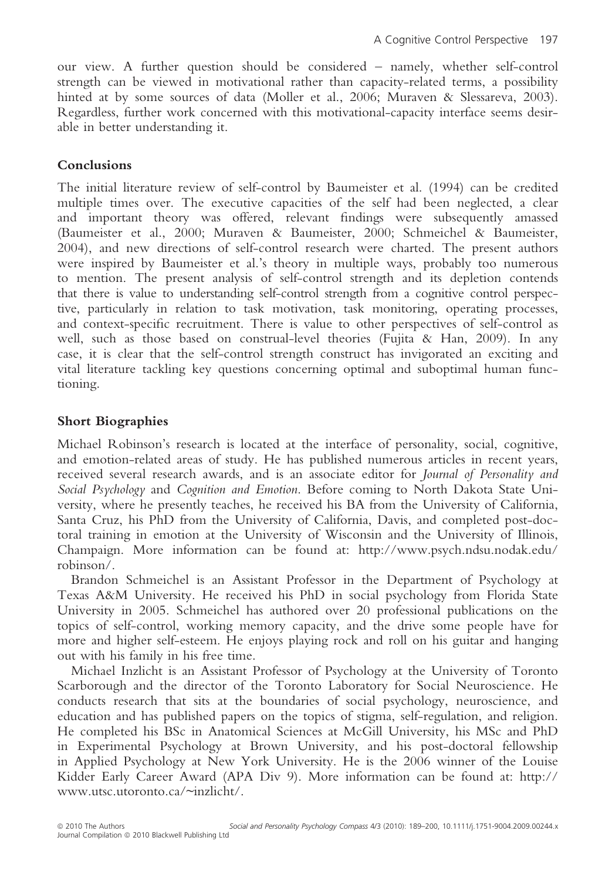our view. A further question should be considered – namely, whether self-control strength can be viewed in motivational rather than capacity-related terms, a possibility hinted at by some sources of data (Moller et al., 2006; Muraven & Slessareva, 2003). Regardless, further work concerned with this motivational-capacity interface seems desirable in better understanding it.

## Conclusions

The initial literature review of self-control by Baumeister et al. (1994) can be credited multiple times over. The executive capacities of the self had been neglected, a clear and important theory was offered, relevant findings were subsequently amassed (Baumeister et al., 2000; Muraven & Baumeister, 2000; Schmeichel & Baumeister, 2004), and new directions of self-control research were charted. The present authors were inspired by Baumeister et al.'s theory in multiple ways, probably too numerous to mention. The present analysis of self-control strength and its depletion contends that there is value to understanding self-control strength from a cognitive control perspective, particularly in relation to task motivation, task monitoring, operating processes, and context-specific recruitment. There is value to other perspectives of self-control as well, such as those based on construal-level theories (Fujita & Han, 2009). In any case, it is clear that the self-control strength construct has invigorated an exciting and vital literature tackling key questions concerning optimal and suboptimal human functioning.

# Short Biographies

Michael Robinson's research is located at the interface of personality, social, cognitive, and emotion-related areas of study. He has published numerous articles in recent years, received several research awards, and is an associate editor for Journal of Personality and Social Psychology and Cognition and Emotion. Before coming to North Dakota State University, where he presently teaches, he received his BA from the University of California, Santa Cruz, his PhD from the University of California, Davis, and completed post-doctoral training in emotion at the University of Wisconsin and the University of Illinois, Champaign. More information can be found at: http://www.psych.ndsu.nodak.edu/ robinson/.

Brandon Schmeichel is an Assistant Professor in the Department of Psychology at Texas A&M University. He received his PhD in social psychology from Florida State University in 2005. Schmeichel has authored over 20 professional publications on the topics of self-control, working memory capacity, and the drive some people have for more and higher self-esteem. He enjoys playing rock and roll on his guitar and hanging out with his family in his free time.

Michael Inzlicht is an Assistant Professor of Psychology at the University of Toronto Scarborough and the director of the Toronto Laboratory for Social Neuroscience. He conducts research that sits at the boundaries of social psychology, neuroscience, and education and has published papers on the topics of stigma, self-regulation, and religion. He completed his BSc in Anatomical Sciences at McGill University, his MSc and PhD in Experimental Psychology at Brown University, and his post-doctoral fellowship in Applied Psychology at New York University. He is the 2006 winner of the Louise Kidder Early Career Award (APA Div 9). More information can be found at: http:// www.utsc.utoronto.ca/~inzlicht/.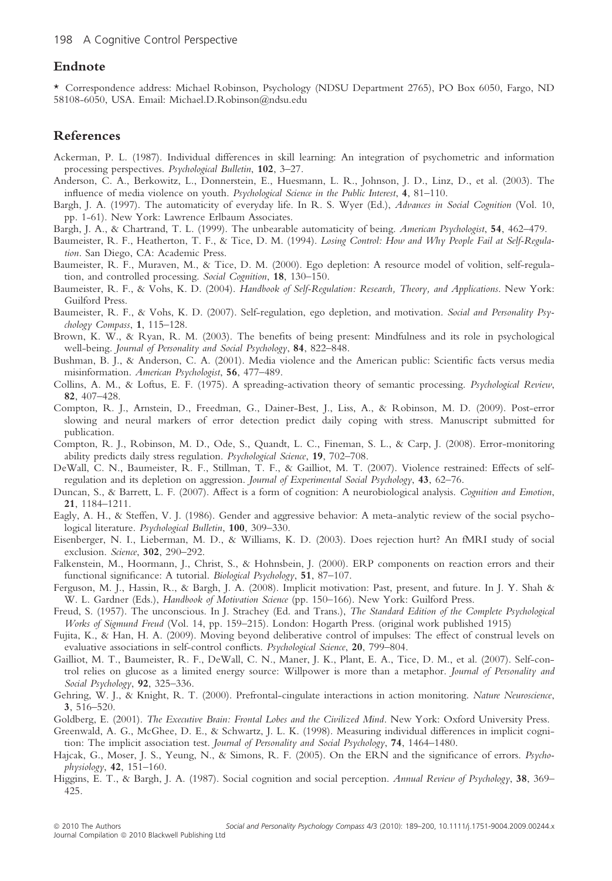#### Endnote

\* Correspondence address: Michael Robinson, Psychology (NDSU Department 2765), PO Box 6050, Fargo, ND 58108-6050, USA. Email: Michael.D.Robinson@ndsu.edu

#### References

- Ackerman, P. L. (1987). Individual differences in skill learning: An integration of psychometric and information processing perspectives. Psychological Bulletin, 102, 3–27.
- Anderson, C. A., Berkowitz, L., Donnerstein, E., Huesmann, L. R., Johnson, J. D., Linz, D., et al. (2003). The influence of media violence on youth. Psychological Science in the Public Interest, 4, 81-110.
- Bargh, J. A. (1997). The automaticity of everyday life. In R. S. Wyer (Ed.), Advances in Social Cognition (Vol. 10, pp. 1-61). New York: Lawrence Erlbaum Associates.
- Bargh, J. A., & Chartrand, T. L. (1999). The unbearable automaticity of being. American Psychologist, 54, 462–479.
- Baumeister, R. F., Heatherton, T. F., & Tice, D. M. (1994). Losing Control: How and Why People Fail at Self-Regulation. San Diego, CA: Academic Press.
- Baumeister, R. F., Muraven, M., & Tice, D. M. (2000). Ego depletion: A resource model of volition, self-regulation, and controlled processing. Social Cognition, 18, 130–150.
- Baumeister, R. F., & Vohs, K. D. (2004). Handbook of Self-Regulation: Research, Theory, and Applications. New York: Guilford Press.
- Baumeister, R. F., & Vohs, K. D. (2007). Self-regulation, ego depletion, and motivation. Social and Personality Psychology Compass, 1, 115–128.
- Brown, K. W., & Ryan, R. M. (2003). The benefits of being present: Mindfulness and its role in psychological well-being. Journal of Personality and Social Psychology, 84, 822–848.
- Bushman, B. J., & Anderson, C. A. (2001). Media violence and the American public: Scientific facts versus media misinformation. American Psychologist, 56, 477–489.
- Collins, A. M., & Loftus, E. F. (1975). A spreading-activation theory of semantic processing. Psychological Review, 82, 407–428.
- Compton, R. J., Arnstein, D., Freedman, G., Dainer-Best, J., Liss, A., & Robinson, M. D. (2009). Post-error slowing and neural markers of error detection predict daily coping with stress. Manuscript submitted for publication.
- Compton, R. J., Robinson, M. D., Ode, S., Quandt, L. C., Fineman, S. L., & Carp, J. (2008). Error-monitoring ability predicts daily stress regulation. Psychological Science, 19, 702–708.
- DeWall, C. N., Baumeister, R. F., Stillman, T. F., & Gailliot, M. T. (2007). Violence restrained: Effects of selfregulation and its depletion on aggression. Journal of Experimental Social Psychology, 43, 62–76.
- Duncan, S., & Barrett, L. F. (2007). Affect is a form of cognition: A neurobiological analysis. Cognition and Emotion, 21, 1184–1211.
- Eagly, A. H., & Steffen, V. J. (1986). Gender and aggressive behavior: A meta-analytic review of the social psychological literature. Psychological Bulletin, 100, 309–330.
- Eisenberger, N. I., Lieberman, M. D., & Williams, K. D. (2003). Does rejection hurt? An fMRI study of social exclusion. Science, 302, 290–292.
- Falkenstein, M., Hoormann, J., Christ, S., & Hohnsbein, J. (2000). ERP components on reaction errors and their functional significance: A tutorial. Biological Psychology, 51, 87–107.
- Ferguson, M. J., Hassin, R., & Bargh, J. A. (2008). Implicit motivation: Past, present, and future. In J. Y. Shah & W. L. Gardner (Eds.), Handbook of Motivation Science (pp. 150-166). New York: Guilford Press.
- Freud, S. (1957). The unconscious. In J. Strachey (Ed. and Trans.), The Standard Edition of the Complete Psychological Works of Sigmund Freud (Vol. 14, pp. 159–215). London: Hogarth Press. (original work published 1915)
- Fujita, K., & Han, H. A. (2009). Moving beyond deliberative control of impulses: The effect of construal levels on evaluative associations in self-control conflicts. Psychological Science, 20, 799-804.
- Gailliot, M. T., Baumeister, R. F., DeWall, C. N., Maner, J. K., Plant, E. A., Tice, D. M., et al. (2007). Self-control relies on glucose as a limited energy source: Willpower is more than a metaphor. Journal of Personality and Social Psychology, 92, 325-336.
- Gehring, W. J., & Knight, R. T. (2000). Prefrontal-cingulate interactions in action monitoring. Nature Neuroscience, 3, 516–520.
- Goldberg, E. (2001). The Executive Brain: Frontal Lobes and the Civilized Mind. New York: Oxford University Press.
- Greenwald, A. G., McGhee, D. E., & Schwartz, J. L. K. (1998). Measuring individual differences in implicit cognition: The implicit association test. Journal of Personality and Social Psychology, 74, 1464–1480.
- Hajcak, G., Moser, J. S., Yeung, N., & Simons, R. F. (2005). On the ERN and the significance of errors. Psychophysiology, 42, 151–160.
- Higgins, E. T., & Bargh, J. A. (1987). Social cognition and social perception. Annual Review of Psychology, 38, 369-425.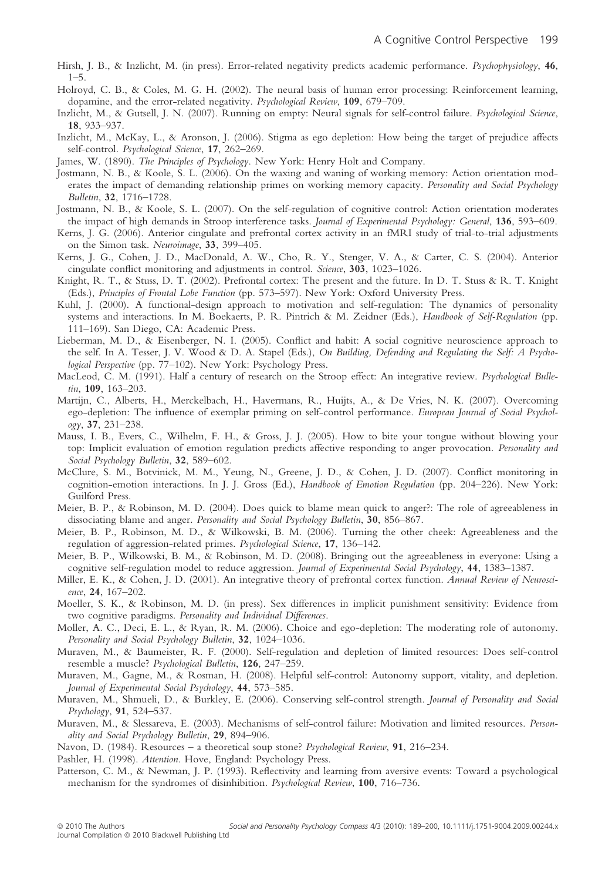- Hirsh, J. B., & Inzlicht, M. (in press). Error-related negativity predicts academic performance. Psychophysiology, 46,  $1 - 5$ .
- Holroyd, C. B., & Coles, M. G. H. (2002). The neural basis of human error processing: Reinforcement learning, dopamine, and the error-related negativity. Psychological Review, 109, 679–709.
- Inzlicht, M., & Gutsell, J. N. (2007). Running on empty: Neural signals for self-control failure. Psychological Science, 18, 933–937.
- Inzlicht, M., McKay, L., & Aronson, J. (2006). Stigma as ego depletion: How being the target of prejudice affects self-control. Psychological Science, 17, 262-269.
- James, W. (1890). The Principles of Psychology. New York: Henry Holt and Company.
- Jostmann, N. B., & Koole, S. L. (2006). On the waxing and waning of working memory: Action orientation moderates the impact of demanding relationship primes on working memory capacity. Personality and Social Psychology Bulletin, 32, 1716–1728.
- Jostmann, N. B., & Koole, S. L. (2007). On the self-regulation of cognitive control: Action orientation moderates the impact of high demands in Stroop interference tasks. Journal of Experimental Psychology: General, 136, 593–609.
- Kerns, J. G. (2006). Anterior cingulate and prefrontal cortex activity in an fMRI study of trial-to-trial adjustments on the Simon task. Neuroimage, 33, 399–405.
- Kerns, J. G., Cohen, J. D., MacDonald, A. W., Cho, R. Y., Stenger, V. A., & Carter, C. S. (2004). Anterior cingulate conflict monitoring and adjustments in control. Science, 303, 1023–1026.
- Knight, R. T., & Stuss, D. T. (2002). Prefrontal cortex: The present and the future. In D. T. Stuss & R. T. Knight (Eds.), Principles of Frontal Lobe Function (pp. 573–597). New York: Oxford University Press.
- Kuhl, J. (2000). A functional-design approach to motivation and self-regulation: The dynamics of personality systems and interactions. In M. Boekaerts, P. R. Pintrich & M. Zeidner (Eds.), Handbook of Self-Regulation (pp. 111–169). San Diego, CA: Academic Press.
- Lieberman, M. D., & Eisenberger, N. I. (2005). Conflict and habit: A social cognitive neuroscience approach to the self. In A. Tesser, J. V. Wood & D. A. Stapel (Eds.), On Building, Defending and Regulating the Self: A Psychological Perspective (pp. 77–102). New York: Psychology Press.
- MacLeod, C. M. (1991). Half a century of research on the Stroop effect: An integrative review. Psychological Bulletin, 109, 163-203.
- Martijn, C., Alberts, H., Merckelbach, H., Havermans, R., Huijts, A., & De Vries, N. K. (2007). Overcoming ego-depletion: The influence of exemplar priming on self-control performance. European Journal of Social Psychology, 37, 231–238.
- Mauss, I. B., Evers, C., Wilhelm, F. H., & Gross, J. J. (2005). How to bite your tongue without blowing your top: Implicit evaluation of emotion regulation predicts affective responding to anger provocation. Personality and Social Psychology Bulletin, 32, 589-602.
- McClure, S. M., Botvinick, M. M., Yeung, N., Greene, J. D., & Cohen, J. D. (2007). Conflict monitoring in cognition-emotion interactions. In J. J. Gross (Ed.), Handbook of Emotion Regulation (pp. 204–226). New York: Guilford Press.
- Meier, B. P., & Robinson, M. D. (2004). Does quick to blame mean quick to anger?: The role of agreeableness in dissociating blame and anger. Personality and Social Psychology Bulletin, 30, 856–867.
- Meier, B. P., Robinson, M. D., & Wilkowski, B. M. (2006). Turning the other cheek: Agreeableness and the regulation of aggression-related primes. Psychological Science, 17, 136–142.
- Meier, B. P., Wilkowski, B. M., & Robinson, M. D. (2008). Bringing out the agreeableness in everyone: Using a cognitive self-regulation model to reduce aggression. Journal of Experimental Social Psychology, 44, 1383–1387.
- Miller, E. K., & Cohen, J. D. (2001). An integrative theory of prefrontal cortex function. Annual Review of Neuroscience, 24, 167–202.
- Moeller, S. K., & Robinson, M. D. (in press). Sex differences in implicit punishment sensitivity: Evidence from two cognitive paradigms. Personality and Individual Differences.
- Moller, A. C., Deci, E. L., & Ryan, R. M. (2006). Choice and ego-depletion: The moderating role of autonomy. Personality and Social Psychology Bulletin, 32, 1024-1036.
- Muraven, M., & Baumeister, R. F. (2000). Self-regulation and depletion of limited resources: Does self-control resemble a muscle? Psychological Bulletin, 126, 247–259.
- Muraven, M., Gagne, M., & Rosman, H. (2008). Helpful self-control: Autonomy support, vitality, and depletion. Journal of Experimental Social Psychology, 44, 573–585.
- Muraven, M., Shmueli, D., & Burkley, E. (2006). Conserving self-control strength. Journal of Personality and Social Psychology, 91, 524–537.
- Muraven, M., & Slessareva, E. (2003). Mechanisms of self-control failure: Motivation and limited resources. Personality and Social Psychology Bulletin, 29, 894–906.
- Navon, D. (1984). Resources a theoretical soup stone? Psychological Review, 91, 216–234.
- Pashler, H. (1998). Attention. Hove, England: Psychology Press.
- Patterson, C. M., & Newman, J. P. (1993). Reflectivity and learning from aversive events: Toward a psychological mechanism for the syndromes of disinhibition. *Psychological Review*, **100**, 716–736.